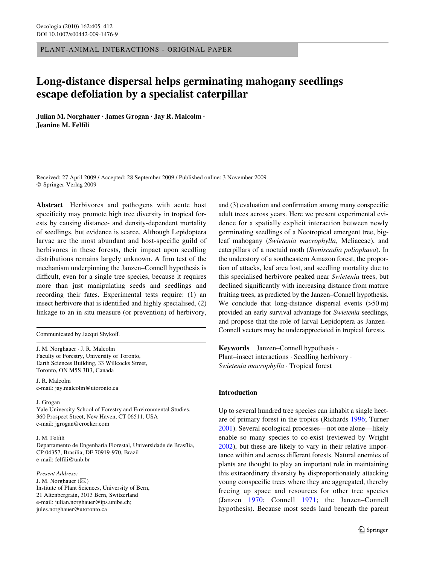PLANT-ANIMAL INTERACTIONS - ORIGINAL PAPER

# **Long-distance dispersal helps germinating mahogany seedlings escape defoliation by a specialist caterpillar**

**Julian M. Norghauer · James Grogan · Jay R. Malcolm · Jeanine M. Felfili** 

Received: 27 April 2009 / Accepted: 28 September 2009 / Published online: 3 November 2009 © Springer-Verlag 2009

**Abstract** Herbivores and pathogens with acute host specificity may promote high tree diversity in tropical forests by causing distance- and density-dependent mortality of seedlings, but evidence is scarce. Although Lepidoptera larvae are the most abundant and host-specific guild of herbivores in these forests, their impact upon seedling distributions remains largely unknown. A firm test of the mechanism underpinning the Janzen–Connell hypothesis is difficult, even for a single tree species, because it requires more than just manipulating seeds and seedlings and recording their fates. Experimental tests require: (1) an insect herbivore that is identified and highly specialised,  $(2)$ linkage to an in situ measure (or prevention) of herbivory,

Communicated by Jacqui Shykoff.

J. M. Norghauer · J. R. Malcolm Faculty of Forestry, University of Toronto, Earth Sciences Building, 33 Willcocks Street, Toronto, ON M5S 3B3, Canada

J. R. Malcolm e-mail: jay.malcolm@utoronto.ca

J. Grogan

Yale University School of Forestry and Environmental Studies, 360 Prospect Street, New Haven, CT 06511, USA e-mail: jgrogan@crocker.com

J. M. Felfili

Departamento de Engenharia Florestal, Universidade de Brasília, CP 04357, Brasília, DF 70919-970, Brazil e-mail: felfili@unb.br

*Present Address:* J. M. Norghauer  $(\boxtimes)$ Institute of Plant Sciences, University of Bern, 21 Altenbergrain, 3013 Bern, Switzerland e-mail: julian.norghauer@ips.unibe.ch;

jules.norghauer@utoronto.ca

and  $(3)$  evaluation and confirmation among many conspecific adult trees across years. Here we present experimental evidence for a spatially explicit interaction between newly germinating seedlings of a Neotropical emergent tree, bigleaf mahogany (*Swietenia macrophylla*, Meliaceae), and caterpillars of a noctuid moth (*Steniscadia poliophaea*). In the understory of a southeastern Amazon forest, the proportion of attacks, leaf area lost, and seedling mortality due to this specialised herbivore peaked near *Swietenia* trees, but declined significantly with increasing distance from mature fruiting trees, as predicted by the Janzen–Connell hypothesis. We conclude that long-distance dispersal events  $(50 \text{ m})$ provided an early survival advantage for *Swietenia* seedlings, and propose that the role of larval Lepidoptera as Janzen– Connell vectors may be underappreciated in tropical forests.

**Keywords** Janzen–Connell hypothesis · Plant–insect interactions · Seedling herbivory · *Swietenia macrophylla* · Tropical forest

# **Introduction**

Up to several hundred tree species can inhabit a single hectare of primary forest in the tropics (Richards [1996](#page-7-0); Turner [2001](#page-7-1)). Several ecological processes—not one alone—likely enable so many species to co-exist (reviewed by Wright [2002](#page-7-2)), but these are likely to vary in their relative importance within and across different forests. Natural enemies of plants are thought to play an important role in maintaining this extraordinary diversity by disproportionately attacking young conspecific trees where they are aggregated, thereby freeing up space and resources for other tree species (Janzen [1970](#page-7-3); Connell [1971](#page-7-4); the Janzen–Connell hypothesis). Because most seeds land beneath the parent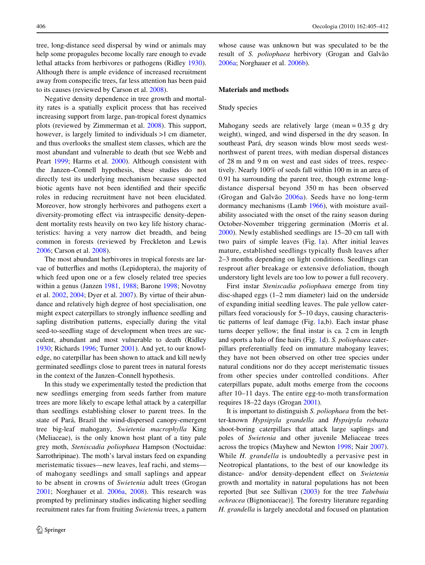tree, long-distance seed dispersal by wind or animals may help some propagules become locally rare enough to evade lethal attacks from herbivores or pathogens (Ridley [1930](#page-7-5)). Although there is ample evidence of increased recruitment away from conspecific trees, far less attention has been paid to its causes (reviewed by Carson et al. [2008\)](#page-7-6).

Negative density dependence in tree growth and mortality rates is a spatially explicit process that has received increasing support from large, pan-tropical forest dynamics plots (reviewed by Zimmerman et al. [2008](#page-7-7)). This support, however, is largely limited to individuals  $>1$  cm diameter, and thus overlooks the smallest stem classes, which are the most abundant and vulnerable to death (but see Webb and Peart [1999;](#page-7-8) Harms et al. [2000](#page-7-9)). Although consistent with the Janzen–Connell hypothesis, these studies do not directly test its underlying mechanism because suspected biotic agents have not been identified and their specific roles in reducing recruitment have not been elucidated. Moreover, how strongly herbivores and pathogens exert a diversity-promoting effect via intraspecific density-dependent mortality rests heavily on two key life history characteristics: having a very narrow diet breadth, and being common in forests (reviewed by Freckleton and Lewis [2006](#page-7-10); Carson et al. [2008](#page-7-6)).

The most abundant herbivores in tropical forests are larvae of butterflies and moths (Lepidoptera), the majority of which feed upon one or a few closely related tree species within a genus (Janzen [1981](#page-7-11), [1988](#page-7-12); Barone [1998;](#page-6-0) Novotny et al. [2002,](#page-7-13) [2004;](#page-7-14) Dyer et al. [2007](#page-7-15)). By virtue of their abundance and relatively high degree of host specialisation, one might expect caterpillars to strongly influence seedling and sapling distribution patterns, especially during the vital seed-to-seedling stage of development when trees are succulent, abundant and most vulnerable to death (Ridley [1930](#page-7-5); Richards [1996](#page-7-0); Turner [2001](#page-7-1)). And yet, to our knowledge, no caterpillar has been shown to attack and kill newly germinated seedlings close to parent trees in natural forests in the context of the Janzen–Connell hypothesis.

In this study we experimentally tested the prediction that new seedlings emerging from seeds farther from mature trees are more likely to escape lethal attack by a caterpillar than seedlings establishing closer to parent trees. In the state of Pará, Brazil the wind-dispersed canopy-emergent tree big-leaf mahogany, *Swietenia macrophylla* King (Meliaceae), is the only known host plant of a tiny pale grey moth, *Steniscadia poliophaea* Hampson (Noctuidae: Sarrothripinae). The moth's larval instars feed on expanding meristematic tissues—new leaves, leaf rachi, and stems of mahogany seedlings and small saplings and appear to be absent in crowns of *Swietenia* adult trees (Grogan [2001](#page-7-16); Norghauer et al. [2006a,](#page-7-17) [2008](#page-7-18)). This research was prompted by preliminary studies indicating higher seedling recruitment rates far from fruiting *Swietenia* trees, a pattern whose cause was unknown but was speculated to be the result of *S. poliophaea* herbivory (Grogan and Galvão [2006a;](#page-7-19) Norghauer et al. [2006b](#page-7-20)).

#### **Materials and methods**

#### Study species

Mahogany seeds are relatively large (mean  $= 0.35$  g dry weight), winged, and wind dispersed in the dry season. In southeast Pará, dry season winds blow most seeds westnorthwest of parent trees, with median dispersal distances of 28 m and 9 m on west and east sides of trees, respectively. Nearly 100% of seeds fall within 100 m in an area of 0.91 ha surrounding the parent tree, though extreme longdistance dispersal beyond 350 m has been observed (Grogan and Galvão [2006a\)](#page-7-19). Seeds have no long-term dormancy mechanisms (Lamb [1966\)](#page-7-21), with moisture availability associated with the onset of the rainy season during October-November triggering germination (Morris et al. [2000](#page-7-22)). Newly established seedlings are 15–20 cm tall with two pairs of simple leaves (Fig. [1a](#page-2-0)). After initial leaves mature, established seedlings typically flush leaves after 2–3 months depending on light conditions. Seedlings can resprout after breakage or extensive defoliation, though understory light levels are too low to power a full recovery.

First instar *Steniscadia poliophaea* emerge from tiny disc-shaped eggs (1–2 mm diameter) laid on the underside of expanding initial seedling leaves. The pale yellow caterpillars feed voraciously for 5–10 days, causing characteristic patterns of leaf damage (Fig. [1](#page-2-0)a,b). Each instar phase turns deeper yellow; the final instar is ca. 2 cm in length and sports a halo of fine hairs (Fig. [1](#page-2-0)d). *S. poliophaea* caterpillars preferentially feed on immature mahogany leaves; they have not been observed on other tree species under natural conditions nor do they accept meristematic tissues from other species under controlled conditions. After caterpillars pupate, adult moths emerge from the cocoons after 10–11 days. The entire egg-to-moth transformation requires 18–22 days (Grogan [2001\)](#page-7-16).

It is important to distinguish *S. poliophaea* from the better-known *Hypsipyla grandella* and *Hypsipyla robusta* shoot-boring caterpillars that attack large saplings and poles of *Swietenia* and other juvenile Meliaceae trees across the tropics (Mayhew and Newton [1998](#page-7-23); Nair [2007](#page-7-24)). While *H. grandella* is undoubtedly a pervasive pest in Neotropical plantations, to the best of our knowledge its distance- and/or density-dependent effect on *Swietenia* growth and mortality in natural populations has not been reported [but see Sullivan ([2003\)](#page-7-25) for the tree *Tabebuia ochracea* (Bignoniaceae)]. The forestry literature regarding *H. grandella* is largely anecdotal and focused on plantation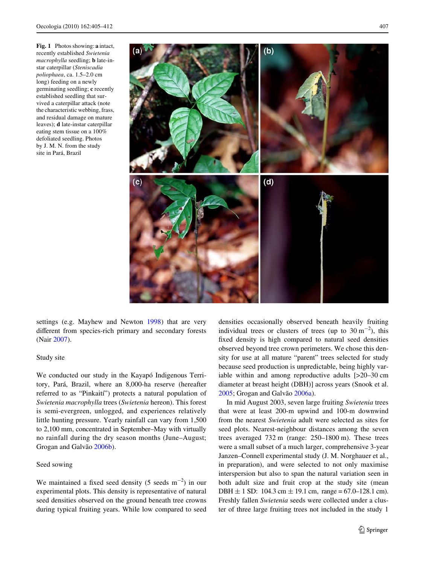<span id="page-2-0"></span>**Fig. 1** Photos showing: **a** intact, recently established *Swietenia macrophylla* seedling; **b** late-instar caterpillar (*Steniscadia poliophaea*, ca. 1.5–2.0 cm long) feeding on a newly germinating seedling; **c** recently established seedling that survived a caterpillar attack (note the characteristic webbing, frass, and residual damage on mature leaves); **d** late-instar caterpillar eating stem tissue on a 100% defoliated seedling. Photos by J. M. N. from the study

site in Pará, Brazil

settings (e.g. Mayhew and Newton [1998\)](#page-7-23) that are very different from species-rich primary and secondary forests (Nair [2007\)](#page-7-24).

### Study site

We conducted our study in the Kayapó Indigenous Territory, Pará, Brazil, where an 8,000-ha reserve (hereafter referred to as "Pinkaití") protects a natural population of *Swietenia macrophylla* trees (*Swietenia* hereon). This forest is semi-evergreen, unlogged, and experiences relatively little hunting pressure. Yearly rainfall can vary from 1,500 to 2,100 mm, concentrated in September–May with virtually no rainfall during the dry season months (June–August; Grogan and Galvão [2006b\)](#page-7-26).

# Seed sowing

We maintained a fixed seed density (5 seeds  $m^{-2}$ ) in our experimental plots. This density is representative of natural seed densities observed on the ground beneath tree crowns during typical fruiting years. While low compared to seed densities occasionally observed beneath heavily fruiting individual trees or clusters of trees (up to  $30 \text{ m}^{-2}$ ), this fixed density is high compared to natural seed densities observed beyond tree crown perimeters. We chose this density for use at all mature "parent" trees selected for study because seed production is unpredictable, being highly variable within and among reproductive adults [>20–30 cm diameter at breast height (DBH)] across years (Snook et al. [2005](#page-7-27); Grogan and Galvão [2006a\)](#page-7-19).

In mid August 2003, seven large fruiting *Swietenia* trees that were at least 200-m upwind and 100-m downwind from the nearest *Swietenia* adult were selected as sites for seed plots. Nearest-neighbour distances among the seven trees averaged 732 m (range: 250–1800 m). These trees were a small subset of a much larger, comprehensive 3-year Janzen–Connell experimental study (J. M. Norghauer et al., in preparation), and were selected to not only maximise interspersion but also to span the natural variation seen in both adult size and fruit crop at the study site (mean DBH  $\pm$  1 SD: 104.3 cm  $\pm$  19.1 cm, range = 67.0–128.1 cm). Freshly fallen *Swietenia* seeds were collected under a cluster of three large fruiting trees not included in the study 1

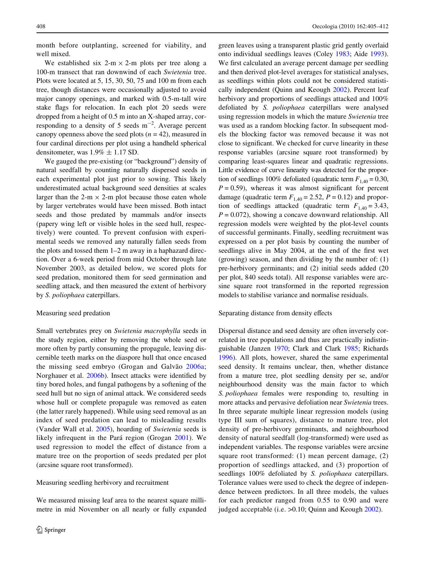month before outplanting, screened for viability, and well mixed.

We established six 2-m  $\times$  2-m plots per tree along a 100-m transect that ran downwind of each *Swietenia* tree. Plots were located at 5, 15, 30, 50, 75 and 100 m from each tree, though distances were occasionally adjusted to avoid major canopy openings, and marked with 0.5-m-tall wire stake flags for relocation. In each plot 20 seeds were dropped from a height of 0.5 m into an X-shaped array, corresponding to a density of 5 seeds  $m^{-2}$ . Average percent canopy openness above the seed plots  $(n = 42)$ , measured in four cardinal directions per plot using a handheld spherical densitometer, was  $1.9\% \pm 1.17$  SD.

We gauged the pre-existing (or "background") density of natural seedfall by counting naturally dispersed seeds in each experimental plot just prior to sowing. This likely underestimated actual background seed densities at scales larger than the 2-m  $\times$  2-m plot because those eaten whole by larger vertebrates would have been missed. Both intact seeds and those predated by mammals and/or insects (papery wing left or visible holes in the seed hull, respectively) were counted. To prevent confusion with experimental seeds we removed any naturally fallen seeds from the plots and tossed them 1–2 m away in a haphazard direction. Over a 6-week period from mid October through late November 2003, as detailed below, we scored plots for seed predation, monitored them for seed germination and seedling attack, and then measured the extent of herbivory by *S. poliophaea* caterpillars.

#### Measuring seed predation

Small vertebrates prey on *Swietenia macrophylla* seeds in the study region, either by removing the whole seed or more often by partly consuming the propagule, leaving discernible teeth marks on the diaspore hull that once encased the missing seed embryo (Grogan and Galvão [2006a](#page-7-19); Norghauer et al. [2006b](#page-7-20)). Insect attacks were identified by tiny bored holes, and fungal pathogens by a softening of the seed hull but no sign of animal attack. We considered seeds whose hull or complete propagule was removed as eaten (the latter rarely happened). While using seed removal as an index of seed predation can lead to misleading results (Vander Wall et al. [2005](#page-7-28)), hoarding of *Swietenia* seeds is likely infrequent in the Pará region (Grogan [2001\)](#page-7-16). We used regression to model the effect of distance from a mature tree on the proportion of seeds predated per plot (arcsine square root transformed).

# Measuring seedling herbivory and recruitment

We measured missing leaf area to the nearest square millimetre in mid November on all nearly or fully expanded green leaves using a transparent plastic grid gently overlaid onto individual seedlings leaves (Coley [1983;](#page-7-29) Aide [1993](#page-6-1)). We first calculated an average percent damage per seedling and then derived plot-level averages for statistical analyses, as seedlings within plots could not be considered statistically independent (Quinn and Keough [2002](#page-7-30)). Percent leaf herbivory and proportions of seedlings attacked and 100% defoliated by *S. poliophaea* caterpillars were analysed using regression models in which the mature *Swietenia* tree was used as a random blocking factor. In subsequent models the blocking factor was removed because it was not close to significant. We checked for curve linearity in these response variables (arcsine square root transformed) by comparing least-squares linear and quadratic regressions. Little evidence of curve linearity was detected for the proportion of seedlings 100% defoliated (quadratic term  $F_{1,40} = 0.30$ ,  $P = 0.59$ , whereas it was almost significant for percent damage (quadratic term  $F_{1,40} = 2.52$ ,  $P = 0.12$ ) and proportion of seedlings attacked (quadratic term  $F_{1,40} = 3.43$ ,  $P = 0.072$ , showing a concave downward relationship. All regression models were weighted by the plot-level counts of successful germinants. Finally, seedling recruitment was expressed on a per plot basis by counting the number of seedlings alive in May 2004, at the end of the first wet (growing) season, and then dividing by the number of: (1) pre-herbivory germinants; and (2) initial seeds added (20 per plot, 840 seeds total). All response variables were arcsine square root transformed in the reported regression models to stabilise variance and normalise residuals.

# Separating distance from density effects

Dispersal distance and seed density are often inversely correlated in tree populations and thus are practically indistinguishable (Janzen [1970](#page-7-3); Clark and Clark [1985;](#page-7-31) Richards [1996](#page-7-0)). All plots, however, shared the same experimental seed density. It remains unclear, then, whether distance from a mature tree, plot seedling density per se, and/or neighbourhood density was the main factor to which *S. poliophaea* females were responding to, resulting in more attacks and pervasive defoliation near *Swietenia* trees. In three separate multiple linear regression models (using type III sum of squares), distance to mature tree, plot density of pre-herbivory germinants, and neighbourhood density of natural seedfall (log-transformed) were used as independent variables. The response variables were arcsine square root transformed: (1) mean percent damage, (2) proportion of seedlings attacked, and (3) proportion of seedlings 100% defoliated by *S. poliophaea* caterpillars. Tolerance values were used to check the degree of independence between predictors. In all three models, the values for each predictor ranged from 0.55 to 0.90 and were judged acceptable (i.e. > 0.10; Quinn and Keough [2002\)](#page-7-30).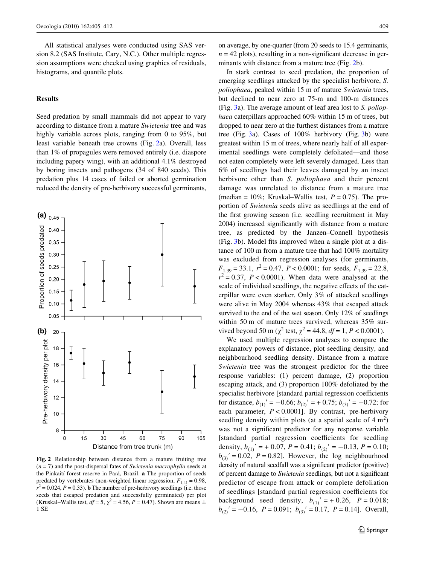All statistical analyses were conducted using SAS version 8.2 (SAS Institute, Cary, N.C.). Other multiple regression assumptions were checked using graphics of residuals, histograms, and quantile plots.

#### **Results**

Seed predation by small mammals did not appear to vary according to distance from a mature *Swietenia* tree and was highly variable across plots, ranging from 0 to 95%, but least variable beneath tree crowns (Fig. [2](#page-4-0)a). Overall, less than 1% of propagules were removed entirely (i.e. diaspore including papery wing), with an additional 4.1% destroyed by boring insects and pathogens (34 of 840 seeds). This predation plus 14 cases of failed or aborted germination reduced the density of pre-herbivory successful germinants,



<span id="page-4-0"></span>**Fig. 2** Relationship between distance from a mature fruiting tree (*n* = 7) and the post-dispersal fates of *Swietenia macrophylla* seeds at the Pinkaití forest reserve in Pará, Brazil. **a** The proportion of seeds predated by vertebrates (non-weighted linear regression,  $F_{1,41} = 0.98$ ,  $r^2 = 0.024$ ,  $P = 0.33$ ). **b** The number of pre-herbivory seedlings (i.e. those seeds that escaped predation and successfully germinated) per plot (Kruskal–Wallis test,  $df = 5$ ,  $\chi^2 = 4.56$ ,  $P = 0.47$ ). Shown are means  $\pm$ 1 SE

on average, by one-quarter (from 20 seeds to 15.4 germinants,  $n = 42$  plots), resulting in a non-significant decrease in ger-minants with distance from a mature tree (Fig. [2](#page-4-0)b).

In stark contrast to seed predation, the proportion of emerging seedlings attacked by the specialist herbivore, *S. poliophaea*, peaked within 15 m of mature *Swietenia* trees, but declined to near zero at 75-m and 100-m distances (Fig. [3a](#page-5-0)). The average amount of leaf area lost to *S. poliophaea* caterpillars approached 60% within 15 m of trees, but dropped to near zero at the furthest distances from a mature tree (Fig. [3](#page-5-0)a). Cases of 100% herbivory (Fig. [3](#page-5-0)b) were greatest within 15 m of trees, where nearly half of all experimental seedlings were completely defoliated—and those not eaten completely were left severely damaged. Less than 6% of seedlings had their leaves damaged by an insect herbivore other than *S. poliophaea* and their percent damage was unrelated to distance from a mature tree (median =  $10\%$ ; Kruskal–Wallis test,  $P = 0.75$ ). The proportion of *Swietenia* seeds alive as seedlings at the end of the first growing season (i.e. seedling recruitment in May 2004) increased significantly with distance from a mature tree, as predicted by the Janzen–Connell hypothesis (Fig.  $3b$ ). Model fits improved when a single plot at a distance of 100 m from a mature tree that had 100% mortality was excluded from regression analyses (for germinants,  $F_{1,39} = 33.1, r^2 = 0.47, P < 0.0001$ ; for seeds,  $F_{1,39} = 22.8$ ,  $r^2 = 0.37$ ,  $P < 0.0001$ ). When data were analysed at the scale of individual seedlings, the negative effects of the caterpillar were even starker. Only 3% of attacked seedlings were alive in May 2004 whereas 43% that escaped attack survived to the end of the wet season. Only 12% of seedlings within 50 m of mature trees survived, whereas 35% survived beyond 50 m ( $\chi^2$  test,  $\chi^2 = 44.8$ ,  $df = 1$ ,  $P < 0.0001$ ).

We used multiple regression analyses to compare the explanatory powers of distance, plot seedling density, and neighbourhood seedling density. Distance from a mature *Swietenia* tree was the strongest predictor for the three response variables: (1) percent damage, (2) proportion escaping attack, and (3) proportion 100% defoliated by the specialist herbivore [standard partial regression coefficients for distance,  $b_{(1)}' = -0.66$ ;  $b_{(2)}' = +0.75$ ;  $b_{(3)}' = -0.72$ ; for each parameter, *P* < 0.0001]. By contrast, pre-herbivory seedling density within plots (at a spatial scale of  $4 \text{ m}^2$ ) was not a significant predictor for any response variable [standard partial regression coefficients for seedling] density,  $b_{(1)}'$  = + 0.07, *P* = 0.41;  $b_{(2)}'$  = -0.13, *P* = 0.10;  $b_{(3)}$  = 0.02, *P* = 0.82]. However, the log neighbourhood density of natural seedfall was a significant predictor (positive) of percent damage to *Swietenia* seedlings, but not a significant predictor of escape from attack or complete defoliation of seedlings [standard partial regression coefficients for background seed density,  $b_{(1)}' = +0.26$ ,  $P = 0.018$ ;  $b_{(2)}' = -0.16$ ,  $P = 0.091$ ;  $b_{(3)}' = 0.17$ ,  $P = 0.14$ ]. Overall,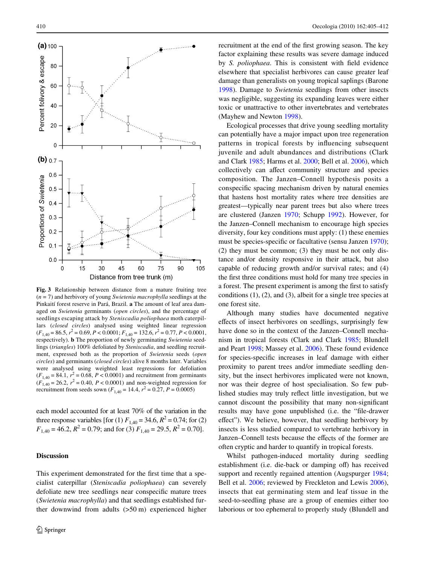

<span id="page-5-0"></span>**Fig. 3** Relationship between distance from a mature fruiting tree (*n* = 7) and herbivory of young *Swietenia macrophylla* seedlings at the Pinkaití forest reserve in Pará, Brazil. **a** The amount of leaf area damaged on *Swietenia* germinants (*open circles*), and the percentage of seedlings escaping attack by *Steniscadia poliophaea* moth caterpillars (*closed circles*) analysed using weighted linear regression  $(F_{1,40} = 86.5, r^2 = 0.69, P < 0.0001; F_{1,40} = 132.6, r^2 = 0.77, P < 0.0001,$ respectively). **b** The proportion of newly germinating *Swietenia* seedlings (*triangles*) 100% defoliated by *Steniscadia*, and seedling recruitment, expressed both as the proportion of *Swietenia* seeds (*open circles*) and germinants (*closed circles*) alive 8 months later. Variables were analysed using weighted least regressions for defoliation  $(F_{1,40} = 84.1, r^2 = 0.68, P < 0.0001)$  and recruitment from germinants  $(F_{1,40} = 26.2, r^2 = 0.40, P < 0.0001)$  and non-weighted regression for recruitment from seeds sown ( $F_{1,40} = 14.4$ ,  $r^2 = 0.27$ ,  $P = 0.0005$ )

each model accounted for at least 70% of the variation in the three response variables [for (1)  $F_{1,40} = 34.6$ ,  $R^2 = 0.74$ ; for (2)  $F_{1,40} = 46.2$ ,  $R^2 = 0.79$ ; and for (3)  $F_{1,40} = 29.5$ ,  $R^2 = 0.70$ .

## **Discussion**

This experiment demonstrated for the first time that a specialist caterpillar (*Steniscadia poliophaea*) can severely defoliate new tree seedlings near conspecific mature trees (*Swietenia macrophylla*) and that seedlings established further downwind from adults (>50 m) experienced higher recruitment at the end of the first growing season. The key factor explaining these results was severe damage induced by *S. poliophaea*. This is consistent with field evidence elsewhere that specialist herbivores can cause greater leaf damage than generalists on young tropical saplings (Barone [1998](#page-6-0)). Damage to *Swietenia* seedlings from other insects was negligible, suggesting its expanding leaves were either toxic or unattractive to other invertebrates and vertebrates (Mayhew and Newton [1998](#page-7-23)).

Ecological processes that drive young seedling mortality can potentially have a major impact upon tree regeneration patterns in tropical forests by influencing subsequent juvenile and adult abundances and distributions (Clark and Clark [1985;](#page-7-31) Harms et al. [2000;](#page-7-9) Bell et al. [2006](#page-7-32)), which collectively can affect community structure and species composition. The Janzen–Connell hypothesis posits a conspecific spacing mechanism driven by natural enemies that hastens host mortality rates where tree densities are greatest—typically near parent trees but also where trees are clustered (Janzen [1970;](#page-7-3) Schupp [1992](#page-7-33)). However, for the Janzen–Connell mechanism to encourage high species diversity, four key conditions must apply: (1) these enemies must be species-specific or facultative (sensu Janzen [1970](#page-7-3)); (2) they must be common; (3) they must be not only distance and/or density responsive in their attack, but also capable of reducing growth and/or survival rates; and (4) the first three conditions must hold for many tree species in a forest. The present experiment is among the first to satisfy conditions (1), (2), and (3), albeit for a single tree species at one forest site.

Although many studies have documented negative effects of insect herbivores on seedlings, surprisingly few have done so in the context of the Janzen–Connell mechanism in tropical forests (Clark and Clark [1985;](#page-7-31) Blundell and Peart [1998;](#page-7-34) Massey et al. [2006](#page-7-35)). These found evidence for species-specific increases in leaf damage with either proximity to parent trees and/or immediate seedling density, but the insect herbivores implicated were not known, nor was their degree of host specialisation. So few published studies may truly reflect little investigation, but we cannot discount the possibility that many non-significant results may have gone unpublished (i.e. the "file-drawer effect"). We believe, however, that seedling herbivory by insects is less studied compared to vertebrate herbivory in Janzen–Connell tests because the effects of the former are often cryptic and harder to quantify in tropical forests.

Whilst pathogen-induced mortality during seedling establishment (i.e. die-back or damping off) has received support and recently regained attention (Augspurger [1984;](#page-6-2) Bell et al. [2006;](#page-7-32) reviewed by Freckleton and Lewis [2006](#page-7-10)), insects that eat germinating stem and leaf tissue in the seed-to-seedling phase are a group of enemies either too laborious or too ephemeral to properly study (Blundell and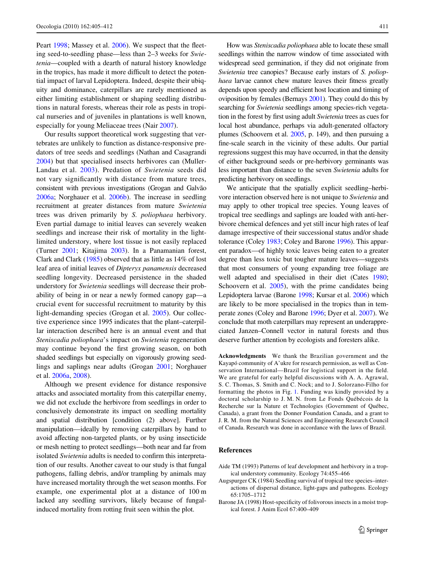Peart [1998;](#page-7-34) Massey et al. [2006\)](#page-7-35). We suspect that the fleeting seed-to-seedling phase—less than 2–3 weeks for *Swietenia*—coupled with a dearth of natural history knowledge in the tropics, has made it more difficult to detect the potential impact of larval Lepidoptera. Indeed, despite their ubiquity and dominance, caterpillars are rarely mentioned as either limiting establishment or shaping seedling distributions in natural forests, whereas their role as pests in tropical nurseries and of juveniles in plantations is well known, especially for young Meliaceae trees (Nair [2007\)](#page-7-24).

Our results support theoretical work suggesting that vertebrates are unlikely to function as distance-responsive predators of tree seeds and seedlings (Nathan and Casagrandi [2004](#page-7-36)) but that specialised insects herbivores can (Muller-Landau et al. [2003](#page-7-37)). Predation of *Swietenia* seeds did not vary significantly with distance from mature trees, consistent with previous investigations (Grogan and Galvão [2006a](#page-7-19); Norghauer et al. [2006b\)](#page-7-20). The increase in seedling recruitment at greater distances from mature *Swietenia* trees was driven primarily by *S. poliophaea* herbivory. Even partial damage to initial leaves can severely weaken seedlings and increase their risk of mortality in the lightlimited understory, where lost tissue is not easily replaced (Turner [2001;](#page-7-1) Kitajima [2003](#page-7-38)). In a Panamanian forest, Clark and Clark [\(1985](#page-7-31)) observed that as little as 14% of lost leaf area of initial leaves of *Dipteryx panamensis* decreased seedling longevity. Decreased persistence in the shaded understory for *Swietenia* seedlings will decrease their probability of being in or near a newly formed canopy gap—a crucial event for successful recruitment to maturity by this light-demanding species (Grogan et al. [2005](#page-7-39)). Our collective experience since 1995 indicates that the plant–caterpillar interaction described here is an annual event and that *Steniscadia poliophaea*'s impact on *Swietenia* regeneration may continue beyond the first growing season, on both shaded seedlings but especially on vigorously growing seedlings and saplings near adults (Grogan [2001](#page-7-16); Norghauer et al. [2006a](#page-7-17), [2008](#page-7-18)).

Although we present evidence for distance responsive attacks and associated mortality from this caterpillar enemy, we did not exclude the herbivore from seedlings in order to conclusively demonstrate its impact on seedling mortality and spatial distribution [condition (2) above]. Further manipulation—ideally by removing caterpillars by hand to avoid affecting non-targeted plants, or by using insecticide or mesh netting to protect seedlings—both near and far from isolated *Swietenia* adults is needed to confirm this interpretation of our results. Another caveat to our study is that fungal pathogens, falling debris, and/or trampling by animals may have increased mortality through the wet season months. For example, one experimental plot at a distance of 100 m lacked any seedling survivors, likely because of fungalinduced mortality from rotting fruit seen within the plot.

How was *Steniscadia poliophaea* able to locate these small seedlings within the narrow window of time associated with widespread seed germination, if they did not originate from *Swietenia* tree canopies? Because early instars of *S. poliophaea* larvae cannot chew mature leaves their fitness greatly depends upon speedy and efficient host location and timing of oviposition by females (Bernays [2001](#page-7-40)). They could do this by searching for *Swietenia* seedlings among species-rich vegetation in the forest by first using adult *Swietenia* trees as cues for local host abundance, perhaps via adult-generated olfactory plumes (Schoovern et al. [2005](#page-7-41), p. 149), and then pursuing a fine-scale search in the vicinity of these adults. Our partial regressions suggest this may have occurred, in that the density of either background seeds or pre-herbivory germinants was less important than distance to the seven *Swietenia* adults for predicting herbivory on seedlings.

We anticipate that the spatially explicit seedling–herbivore interaction observed here is not unique to *Swietenia* and may apply to other tropical tree species. Young leaves of tropical tree seedlings and saplings are loaded with anti-herbivore chemical defences and yet still incur high rates of leaf damage irrespective of their successional status and/or shade tolerance (Coley [1983](#page-7-29); Coley and Barone [1996](#page-7-42)). This apparent paradox—of highly toxic leaves being eaten to a greater degree than less toxic but tougher mature leaves—suggests that most consumers of young expanding tree foliage are well adapted and specialised in their diet (Cates [1980;](#page-7-43) Schoovern et al. [2005\)](#page-7-41), with the prime candidates being Lepidoptera larvae (Barone [1998](#page-6-0); Kursar et al. [2006](#page-7-44)) which are likely to be more specialised in the tropics than in temperate zones (Coley and Barone [1996;](#page-7-42) Dyer et al. [2007](#page-7-15)). We conclude that moth caterpillars may represent an underappreciated Janzen–Connell vector in natural forests and thus deserve further attention by ecologists and foresters alike.

**Acknowledgments** We thank the Brazilian government and the Kayapó community of A'ukre for research permission, as well as Conservation International—Brazil for logistical support in the field. We are grateful for early helpful discussions with A. A. Agrawal, S. C. Thomas, S. Smith and C. Nock; and to J. Solorzano-Filho for formatting the photos in Fig. [1](#page-2-0). Funding was kindly provided by a doctoral scholarship to J. M. N. from Le Fonds Québécois de la Recherche sur la Nature et Technologies (Government of Québec, Canada), a grant from the Donner Foundation Canada, and a grant to J. R. M. from the Natural Sciences and Engineering Research Council of Canada. Research was done in accordance with the laws of Brazil.

#### **References**

- <span id="page-6-1"></span>Aide TM (1993) Patterns of leaf development and herbivory in a tropical understory community. Ecology 74:455–466
- <span id="page-6-2"></span>Augspurger CK (1984) Seedling survival of tropical tree species–interactions of dispersal distance, light-gaps and pathogens. Ecology 65:1705–1712
- <span id="page-6-0"></span>Barone JA (1998) Host-specificity of folivorous insects in a moist tropical forest. J Anim Ecol 67:400–409